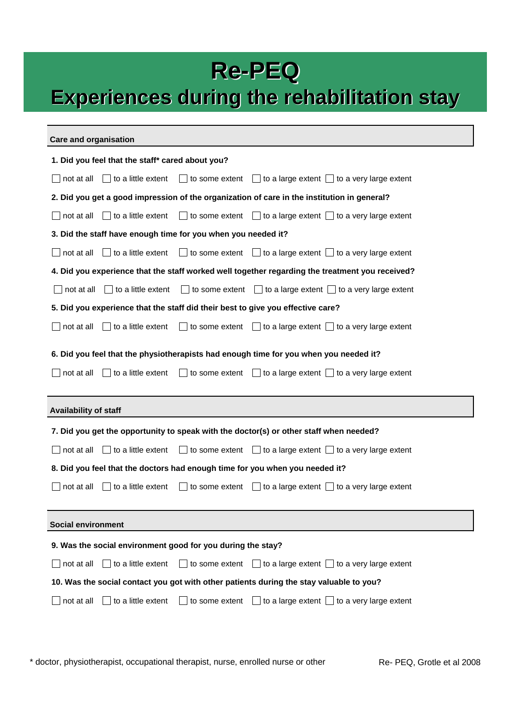### **Re-PEQ**

# **Experiences Experiences during the rehabilitation rehabilitation stay**

#### **Care and organisation**

| 1. Did you feel that the staff* cared about you?                                                                                                                                                   |
|----------------------------------------------------------------------------------------------------------------------------------------------------------------------------------------------------|
| $\Box$ to some extent $\Box$ to a large extent $\Box$ to a very large extent<br>$\Box$ to a little extent<br>not at all                                                                            |
| 2. Did you get a good impression of the organization of care in the institution in general?                                                                                                        |
| to a little extent<br>to some extent $\Box$ to a large extent $\Box$ to a very large extent<br>not at all                                                                                          |
| 3. Did the staff have enough time for you when you needed it?                                                                                                                                      |
| $\Box$ to some extent $\Box$ to a large extent $\Box$ to a very large extent<br>not at all<br>to a little extent                                                                                   |
| 4. Did you experience that the staff worked well together regarding the treatment you received?                                                                                                    |
| to some extent $\Box$ to a large extent $\Box$ to a very large extent<br>to a little extent<br>not at all                                                                                          |
| 5. Did you experience that the staff did their best to give you effective care?                                                                                                                    |
| to a little extent<br>to some extent $\Box$ to a large extent $\Box$ to a very large extent<br>not at all                                                                                          |
| 6. Did you feel that the physiotherapists had enough time for you when you needed it?<br>to a little extent<br>to some extent $\Box$ to a large extent $\Box$ to a very large extent<br>not at all |
|                                                                                                                                                                                                    |
|                                                                                                                                                                                                    |
| <b>Availability of staff</b>                                                                                                                                                                       |
| 7. Did you get the opportunity to speak with the doctor(s) or other staff when needed?                                                                                                             |
| to some extent $\Box$ to a large extent $\Box$ to a very large extent<br>not at all<br>to a little extent                                                                                          |
| 8. Did you feel that the doctors had enough time for you when you needed it?                                                                                                                       |
| $\Box$ to some extent $\Box$ to a large extent $\Box$ to a very large extent<br>not at all<br>$\Box$ to a little extent                                                                            |
|                                                                                                                                                                                                    |
| <b>Social environment</b>                                                                                                                                                                          |
| 9. Was the social environment good for you during the stay?                                                                                                                                        |
| to some extent<br>to a large extent $\Box$ to a very large extent<br>not at all<br>to a little extent                                                                                              |
| 10. Was the social contact you got with other patients during the stay valuable to you?                                                                                                            |

\* doctor, physiotherapist, occupational therapist, nurse, enrolled nurse or other Re- PEQ, Grotle et al 2008